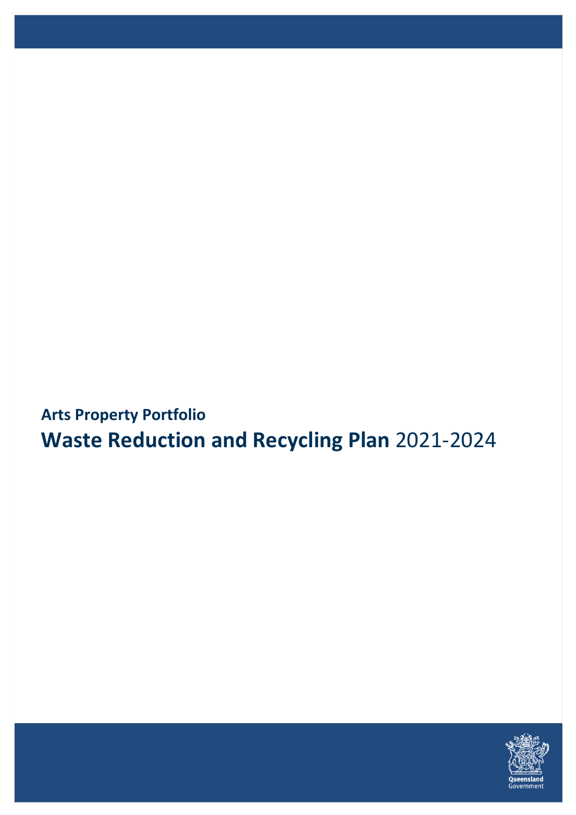**Arts Property Portfolio Waste Reduction and Recycling Plan** 2021-2024

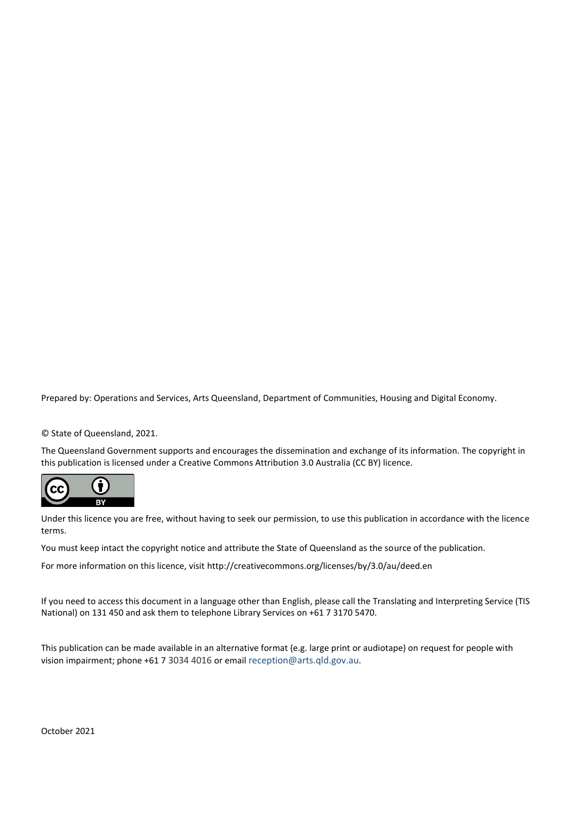Prepared by: Operations and Services, Arts Queensland, Department of Communities, Housing and Digital Economy.

© State of Queensland, 2021.

The Queensland Government supports and encourages the dissemination and exchange of its information. The copyright in this publication is licensed under a Creative Commons Attribution 3.0 Australia (CC BY) licence.



Under this licence you are free, without having to seek our permission, to use this publication in accordance with the licence terms.

You must keep intact the copyright notice and attribute the State of Queensland as the source of the publication.

For more information on this licence, visit<http://creativecommons.org/licenses/by/3.0/au/deed.en>

If you need to access this document in a language other than English, please call the Translating and Interpreting Service (TIS National) on 131 450 and ask them to telephone Library Services on +61 7 3170 5470.

This publication can be made available in an alternative format (e.g. large print or audiotape) on request for people with vision impairment; phone +61 7 3034 4016 or email [reception@arts.qld.gov.au](mailto:reception@arts.qld.gov.au).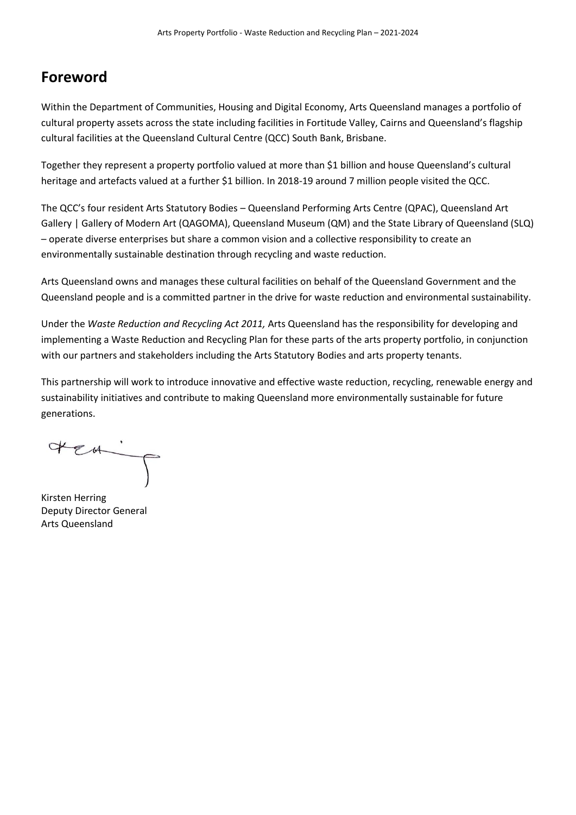### **Foreword**

Within the Department of Communities, Housing and Digital Economy, Arts Queensland manages a portfolio of cultural property assets across the state including facilities in Fortitude Valley, Cairns and Queensland's flagship cultural facilities at the Queensland Cultural Centre (QCC) South Bank, Brisbane.

Together they represent a property portfolio valued at more than \$1 billion and house Queensland's cultural heritage and artefacts valued at a further \$1 billion. In 2018-19 around 7 million people visited the QCC.

The QCC's four resident Arts Statutory Bodies – Queensland Performing Arts Centre (QPAC), Queensland Art Gallery | Gallery of Modern Art (QAGOMA), Queensland Museum (QM) and the State Library of Queensland (SLQ) – operate diverse enterprises but share a common vision and a collective responsibility to create an environmentally sustainable destination through recycling and waste reduction.

Arts Queensland owns and manages these cultural facilities on behalf of the Queensland Government and the Queensland people and is a committed partner in the drive for waste reduction and environmental sustainability.

Under the *Waste Reduction and Recycling Act 2011,* Arts Queensland has the responsibility for developing and implementing a Waste Reduction and Recycling Plan for these parts of the arts property portfolio, in conjunction with our partners and stakeholders including the Arts Statutory Bodies and arts property tenants.

This partnership will work to introduce innovative and effective waste reduction, recycling, renewable energy and sustainability initiatives and contribute to making Queensland more environmentally sustainable for future generations.

HEA.

Kirsten Herring Deputy Director General Arts Queensland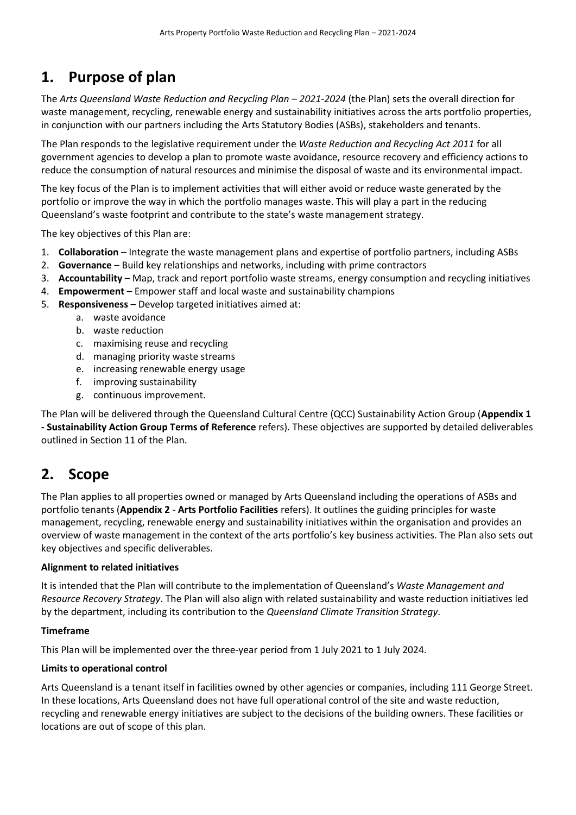## **1. Purpose of plan**

The *Arts Queensland Waste Reduction and Recycling Plan – 2021-2024* (the Plan) sets the overall direction for waste management, recycling, renewable energy and sustainability initiatives across the arts portfolio properties, in conjunction with our partners including the Arts Statutory Bodies (ASBs), stakeholders and tenants.

The Plan responds to the legislative requirement under the *Waste Reduction and Recycling Act 2011* for all government agencies to develop a plan to promote waste avoidance, resource recovery and efficiency actions to reduce the consumption of natural resources and minimise the disposal of waste and its environmental impact.

The key focus of the Plan is to implement activities that will either avoid or reduce waste generated by the portfolio or improve the way in which the portfolio manages waste. This will play a part in the reducing Queensland's waste footprint and contribute to the state's waste management strategy.

The key objectives of this Plan are:

- 1. **Collaboration** Integrate the waste management plans and expertise of portfolio partners, including ASBs
- 2. **Governance**  Build key relationships and networks, including with prime contractors
- 3. **Accountability** Map, track and report portfolio waste streams, energy consumption and recycling initiatives
- 4. **Empowerment** Empower staff and local waste and sustainability champions
- 5. **Responsiveness** Develop targeted initiatives aimed at:
	- a. waste avoidance
	- b. waste reduction
	- c. maximising reuse and recycling
	- d. managing priority waste streams
	- e. increasing renewable energy usage
	- f. improving sustainability
	- g. continuous improvement.

The Plan will be delivered through the Queensland Cultural Centre (QCC) Sustainability Action Group (**Appendix 1 - Sustainability Action Group Terms of Reference** refers). These objectives are supported by detailed deliverables outlined in Sectio[n 11](#page-7-0) of the Plan.

### **2. Scope**

The Plan applies to all properties owned or managed by Arts Queensland including the operations of ASBs and portfolio tenants (**Appendix 2** - **Arts Portfolio Facilities** refers). It outlines the guiding principles for waste management, recycling, renewable energy and sustainability initiatives within the organisation and provides an overview of waste management in the context of the arts portfolio's key business activities. The Plan also sets out key objectives and specific deliverables.

#### **Alignment to related initiatives**

It is intended that the Plan will contribute to the implementation of Queensland's *[Waste Management and](https://www.qld.gov.au/__data/assets/pdf_file/0028/103798/qld-waste-management-resource-recovery-strategy.pdf)  [Resource Recovery Strategy](https://www.qld.gov.au/__data/assets/pdf_file/0028/103798/qld-waste-management-resource-recovery-strategy.pdf)*. The Plan will also align with related sustainability and waste reduction initiatives led by the department, including its contribution to the *Queensland Climate Transition Strategy*.

#### **Timeframe**

This Plan will be implemented over the three-year period from 1 July 2021 to 1 July 2024.

#### **Limits to operational control**

Arts Queensland is a tenant itself in facilities owned by other agencies or companies, including 111 George Street. In these locations, Arts Queensland does not have full operational control of the site and waste reduction, recycling and renewable energy initiatives are subject to the decisions of the building owners. These facilities or locations are out of scope of this plan.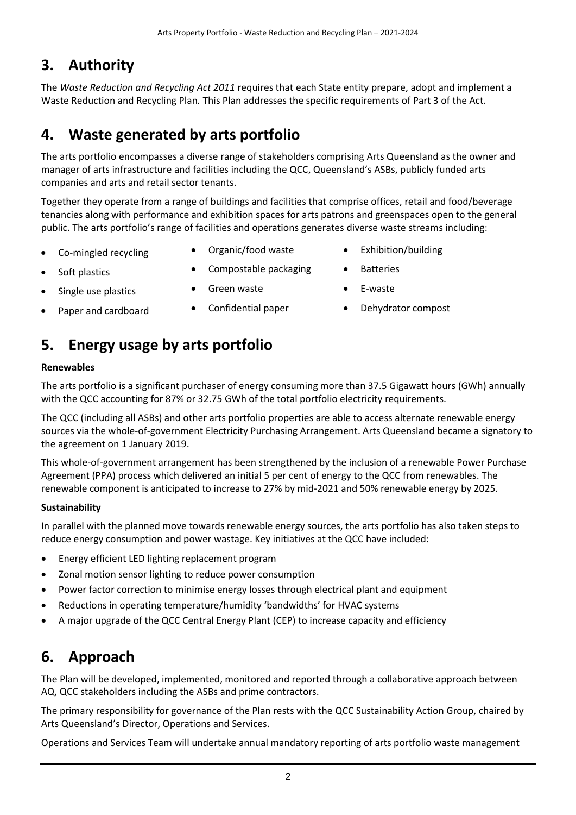## **3. Authority**

The *Waste Reduction and Recycling Act 2011* requires that each State entity prepare, adopt and implement a Waste Reduction and Recycling Plan*.* This Plan addresses the specific requirements of Part 3 of the Act.

# **4. Waste generated by arts portfolio**

The arts portfolio encompasses a diverse range of stakeholders comprising Arts Queensland as the owner and manager of arts infrastructure and facilities including the QCC, Queensland's ASBs, publicly funded arts companies and arts and retail sector tenants.

Together they operate from a range of buildings and facilities that comprise offices, retail and food/beverage tenancies along with performance and exhibition spaces for arts patrons and greenspaces open to the general public. The arts portfolio's range of facilities and operations generates diverse waste streams including:

- 
- Co-mingled recycling Organic/food waste Exhibition/building
	-
- Soft plastics **•** Compostable packaging Batteries
- Single use plastics Green waste E-waste
- Paper and cardboard Confidential paper Dehydrator compost
- 
- 
- 

## **5. Energy usage by arts portfolio**

### **Renewables**

The arts portfolio is a significant purchaser of energy consuming more than 37.5 Gigawatt hours (GWh) annually with the QCC accounting for 87% or 32.75 GWh of the total portfolio electricity requirements.

The QCC (including all ASBs) and other arts portfolio properties are able to access alternate renewable energy sources via the whole-of-government Electricity Purchasing Arrangement. Arts Queensland became a signatory to the agreement on 1 January 2019.

This whole-of-government arrangement has been strengthened by the inclusion of a renewable Power Purchase Agreement (PPA) process which delivered an initial 5 per cent of energy to the QCC from renewables. The renewable component is anticipated to increase to 27% by mid-2021 and 50% renewable energy by 2025.

### **Sustainability**

In parallel with the planned move towards renewable energy sources, the arts portfolio has also taken steps to reduce energy consumption and power wastage. Key initiatives at the QCC have included:

- Energy efficient LED lighting replacement program
- Zonal motion sensor lighting to reduce power consumption
- Power factor correction to minimise energy losses through electrical plant and equipment
- Reductions in operating temperature/humidity 'bandwidths' for HVAC systems
- A major upgrade of the QCC Central Energy Plant (CEP) to increase capacity and efficiency

# **6. Approach**

The Plan will be developed, implemented, monitored and reported through a collaborative approach between AQ, QCC stakeholders including the ASBs and prime contractors.

The primary responsibility for governance of the Plan rests with the QCC Sustainability Action Group, chaired by Arts Queensland's Director, Operations and Services.

Operations and Services Team will undertake annual mandatory reporting of arts portfolio waste management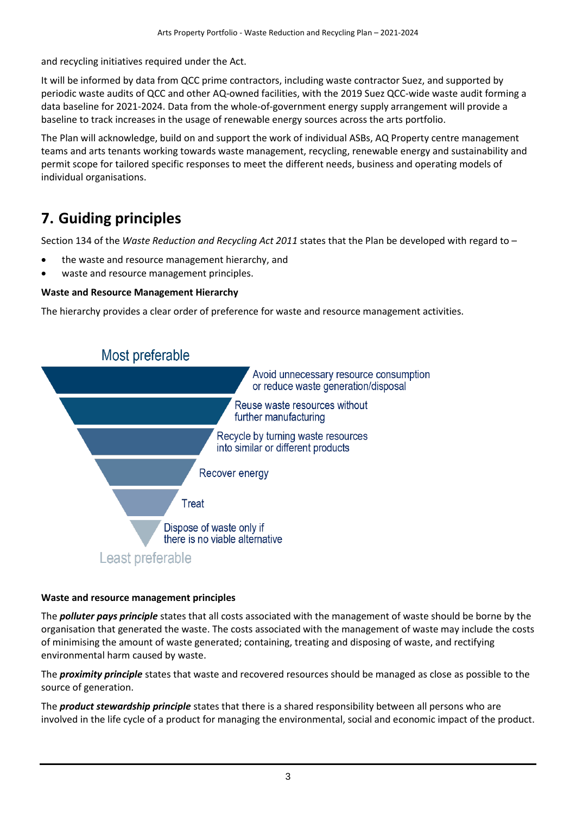and recycling initiatives required under the Act.

It will be informed by data from QCC prime contractors, including waste contractor Suez, and supported by periodic waste audits of QCC and other AQ-owned facilities, with the 2019 Suez QCC-wide waste audit forming a data baseline for 2021-2024. Data from the whole-of-government energy supply arrangement will provide a baseline to track increases in the usage of renewable energy sources across the arts portfolio.

The Plan will acknowledge, build on and support the work of individual ASBs, AQ Property centre management teams and arts tenants working towards waste management, recycling, renewable energy and sustainability and permit scope for tailored specific responses to meet the different needs, business and operating models of individual organisations.

# **7. Guiding principles**

Section 134 of the *Waste Reduction and Recycling Act 2011* states that the Plan be developed with regard to –

- the waste and resource management hierarchy, and
- waste and resource management principles.

### **Waste and Resource Management Hierarchy**

The hierarchy provides a clear order of preference for waste and resource management activities.



### **Waste and resource management principles**

The *polluter pays principle* states that all costs associated with the management of waste should be borne by the organisation that generated the waste. The costs associated with the management of waste may include the costs of minimising the amount of waste generated; containing, treating and disposing of waste, and rectifying environmental harm caused by waste.

The *proximity principle* states that waste and recovered resources should be managed as close as possible to the source of generation.

The *product stewardship principle* states that there is a shared responsibility between all persons who are involved in the life cycle of a product for managing the environmental, social and economic impact of the product.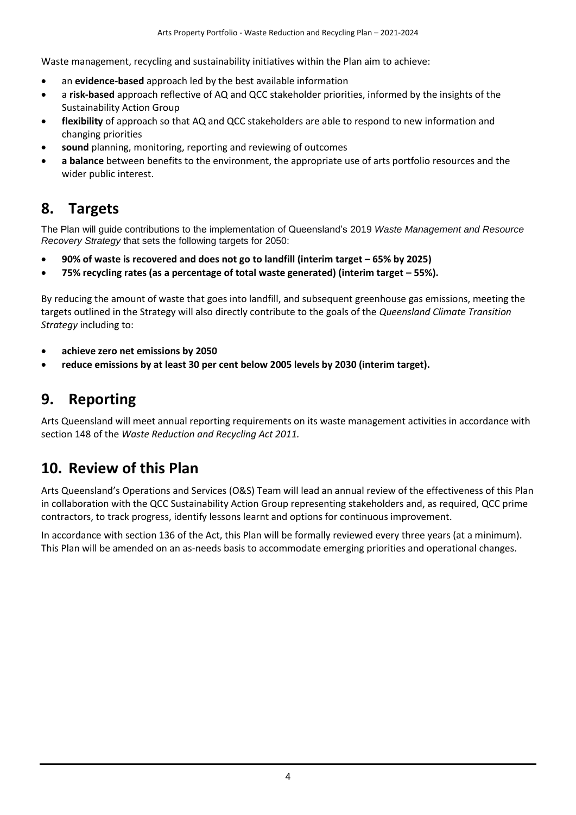Waste management, recycling and sustainability initiatives within the Plan aim to achieve:

- an **evidence-based** approach led by the best available information
- a **risk-based** approach reflective of AQ and QCC stakeholder priorities, informed by the insights of the Sustainability Action Group
- **flexibility** of approach so that AQ and QCC stakeholders are able to respond to new information and changing priorities
- **sound** planning, monitoring, reporting and reviewing of outcomes
- **a balance** between benefits to the environment, the appropriate use of arts portfolio resources and the wider public interest.

## **8. Targets**

The Plan will guide contributions to the implementation of Queensland's 2019 *[Waste Management and Resource](https://www.qld.gov.au/__data/assets/pdf_file/0028/103798/qld-waste-management-resource-recovery-strategy.pdf)  [Recovery Strategy](https://www.qld.gov.au/__data/assets/pdf_file/0028/103798/qld-waste-management-resource-recovery-strategy.pdf)* that sets the following targets for 2050:

- **90% of waste is recovered and does not go to landfill (interim target – 65% by 2025)**
- **•** 75% recycling rates (as a percentage of total waste generated) (interim target  $-$  55%).

By reducing the amount of waste that goes into landfill, and subsequent greenhouse gas emissions, meeting the targets outlined in the Strategy will also directly contribute to the goals of the *Queensland Climate Transition Strategy* including to:

- **achieve zero net emissions by 2050**
- **reduce emissions by at least 30 per cent below 2005 levels by 2030 (interim target).**

### **9. Reporting**

Arts Queensland will meet annual reporting requirements on its waste management activities in accordance with section 148 of the *Waste Reduction and Recycling Act 2011.*

### **10. Review of this Plan**

Arts Queensland's Operations and Services (O&S) Team will lead an annual review of the effectiveness of this Plan in collaboration with the QCC Sustainability Action Group representing stakeholders and, as required, QCC prime contractors, to track progress, identify lessons learnt and options for continuous improvement.

In accordance with section 136 of the Act, this Plan will be formally reviewed every three years (at a minimum). This Plan will be amended on an as-needs basis to accommodate emerging priorities and operational changes.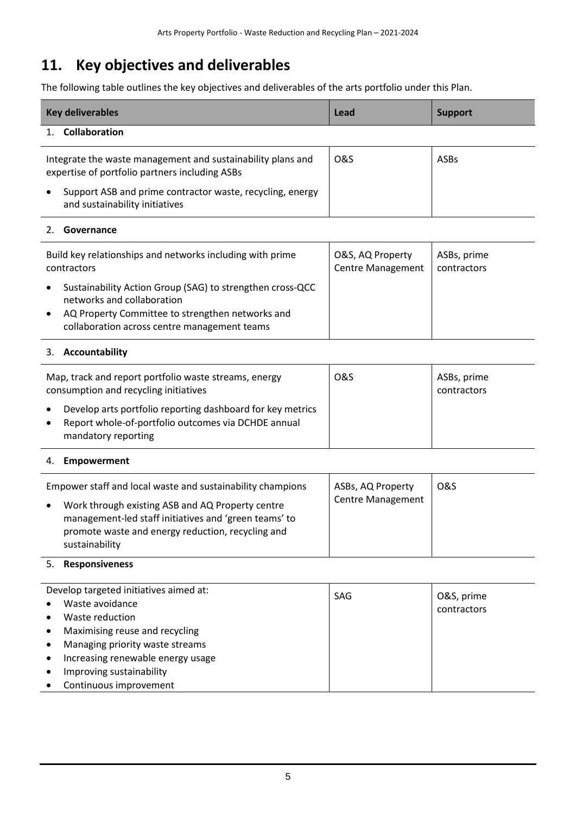# <span id="page-7-0"></span>**11. Key objectives and deliverables**

The following table outlines the key objectives and deliverables of the arts portfolio under this Plan.

| <b>Key deliverables</b>                                                                                       | Lead           | <b>Support</b> |
|---------------------------------------------------------------------------------------------------------------|----------------|----------------|
| Collaboration                                                                                                 |                |                |
| Integrate the waste management and sustainability plans and<br>expertise of portfolio partners including ASBs | <b>O&amp;S</b> | <b>ASBs</b>    |
| Support ASB and prime contractor waste, recycling, energy<br>and sustainability initiatives                   |                |                |

### 2. **Governance**

| Build key relationships and networks including with prime                                                                                                                                                             | O&S, AQ Property         | ASBs, prime |
|-----------------------------------------------------------------------------------------------------------------------------------------------------------------------------------------------------------------------|--------------------------|-------------|
| contractors                                                                                                                                                                                                           | <b>Centre Management</b> | contractors |
| Sustainability Action Group (SAG) to strengthen cross-QCC<br>$\bullet$<br>networks and collaboration<br>AQ Property Committee to strengthen networks and<br>$\bullet$<br>collaboration across centre management teams |                          |             |

### 3. **Accountability**

| Map, track and report portfolio waste streams, energy<br>consumption and recycling initiatives                                                                     | <b>O&amp;S</b> | ASBs, prime<br>contractors |
|--------------------------------------------------------------------------------------------------------------------------------------------------------------------|----------------|----------------------------|
| Develop arts portfolio reporting dashboard for key metrics<br>$\bullet$<br>Report whole-of-portfolio outcomes via DCHDE annual<br>$\bullet$<br>mandatory reporting |                |                            |

### 4. **Empowerment**

| Empower staff and local waste and sustainability champions<br>Work through existing ASB and AQ Property centre<br>$\bullet$<br>management-led staff initiatives and 'green teams' to<br>promote waste and energy reduction, recycling and<br>sustainability | ASBs, AQ Property<br><b>Centre Management</b> | <b>O&amp;S</b> |
|-------------------------------------------------------------------------------------------------------------------------------------------------------------------------------------------------------------------------------------------------------------|-----------------------------------------------|----------------|
|-------------------------------------------------------------------------------------------------------------------------------------------------------------------------------------------------------------------------------------------------------------|-----------------------------------------------|----------------|

### 5. **Responsiveness**

| $\bullet$ | Develop targeted initiatives aimed at:<br>Waste avoidance | <b>SAG</b> | O&S, prime<br>contractors |
|-----------|-----------------------------------------------------------|------------|---------------------------|
| $\bullet$ | Waste reduction                                           |            |                           |
| $\bullet$ | Maximising reuse and recycling                            |            |                           |
| $\bullet$ | Managing priority waste streams                           |            |                           |
| $\bullet$ | Increasing renewable energy usage                         |            |                           |
| $\bullet$ | Improving sustainability                                  |            |                           |
| $\bullet$ | Continuous improvement                                    |            |                           |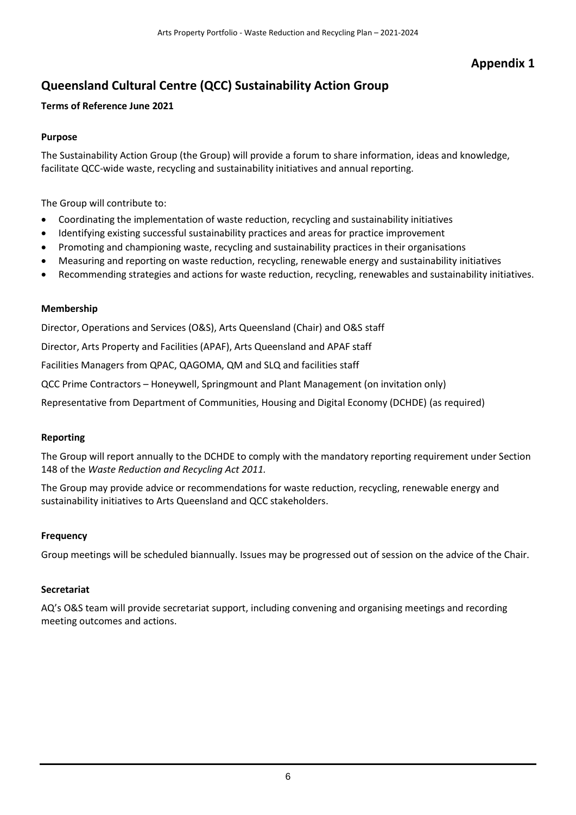### **Appendix 1**

### **Queensland Cultural Centre (QCC) Sustainability Action Group**

### **Terms of Reference June 2021**

### **Purpose**

The Sustainability Action Group (the Group) will provide a forum to share information, ideas and knowledge, facilitate QCC-wide waste, recycling and sustainability initiatives and annual reporting.

The Group will contribute to:

- Coordinating the implementation of waste reduction, recycling and sustainability initiatives
- Identifying existing successful sustainability practices and areas for practice improvement
- Promoting and championing waste, recycling and sustainability practices in their organisations
- Measuring and reporting on waste reduction, recycling, renewable energy and sustainability initiatives
- Recommending strategies and actions for waste reduction, recycling, renewables and sustainability initiatives.

### **Membership**

Director, Operations and Services (O&S), Arts Queensland (Chair) and O&S staff

Director, Arts Property and Facilities (APAF), Arts Queensland and APAF staff

Facilities Managers from QPAC, QAGOMA, QM and SLQ and facilities staff

QCC Prime Contractors – Honeywell, Springmount and Plant Management (on invitation only)

Representative from Department of Communities, Housing and Digital Economy (DCHDE) (as required)

### **Reporting**

The Group will report annually to the DCHDE to comply with the mandatory reporting requirement under Section 148 of the *Waste Reduction and Recycling Act 2011.*

The Group may provide advice or recommendations for waste reduction, recycling, renewable energy and sustainability initiatives to Arts Queensland and QCC stakeholders.

#### **Frequency**

Group meetings will be scheduled biannually. Issues may be progressed out of session on the advice of the Chair.

#### **Secretariat**

AQ's O&S team will provide secretariat support, including convening and organising meetings and recording meeting outcomes and actions.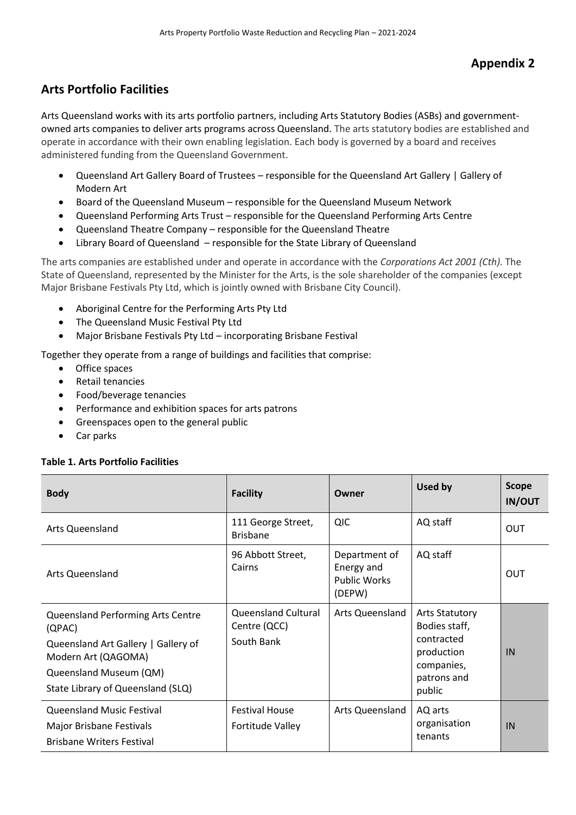### **Arts Portfolio Facilities**

Arts Queensland works with its arts portfolio partners, including Arts Statutory Bodies (ASBs) and governmentowned arts companies to deliver arts programs across Queensland. The arts statutory bodies are established and operate in accordance with their own enabling legislation. Each body is governed by a board and receives administered funding from the Queensland Government.

- Queensland Art Gallery Board of Trustees responsible for the [Queensland Art Gallery | Gallery of](https://www.qagoma.qld.gov.au/)  [Modern Art](https://www.qagoma.qld.gov.au/)
- Board of the Queensland Museum responsible for the [Queensland Museum Network](http://www.qm.qld.gov.au/)
- Queensland Performing Arts Trust responsible for the [Queensland Performing Arts Centre](http://www.qpac.com.au/)
- Queensland Theatre Company responsible for the [Queensland Theatre](http://www.queenslandtheatre.com.au/)
- Library Board of Queensland responsible for the [State Library of Queensland](http://www.slq.qld.gov.au/)

The arts companies are established under and operate in accordance with the *Corporations Act 2001 (Cth).* The State of Queensland, represented by the Minister for the Arts, is the sole shareholder of the companies (except Major Brisbane Festivals Pty Ltd, which is jointly owned with Brisbane City Council).

- [Aboriginal Centre for the Performing Arts Pty Ltd](http://acpa.edu.au/)
- [The Queensland Music Festival Pty Ltd](http://www.qmf.org.au/)
- Major Brisbane Festivals Pty Ltd incorporating [Brisbane Festival](http://www.brisbanefestival.com.au/)

Together they operate from a range of buildings and facilities that comprise:

- Office spaces
- Retail tenancies
- Food/beverage tenancies
- Performance and exhibition spaces for arts patrons
- Greenspaces open to the general public
- Car parks

#### **Table 1. Arts Portfolio Facilities**

| <b>Body</b>                                                                                                                                                                     | <b>Facility</b>                                          | Owner                                                        | Used by                                                                                                   | <b>Scope</b><br><b>IN/OUT</b> |
|---------------------------------------------------------------------------------------------------------------------------------------------------------------------------------|----------------------------------------------------------|--------------------------------------------------------------|-----------------------------------------------------------------------------------------------------------|-------------------------------|
| <b>Arts Queensland</b>                                                                                                                                                          | 111 George Street,<br><b>Brisbane</b>                    | QIC                                                          | AQ staff                                                                                                  | <b>OUT</b>                    |
| Arts Queensland                                                                                                                                                                 | 96 Abbott Street,<br>Cairns                              | Department of<br>Energy and<br><b>Public Works</b><br>(DEPW) | AQ staff                                                                                                  | OUT                           |
| <b>Queensland Performing Arts Centre</b><br>(QPAC)<br>Queensland Art Gallery   Gallery of<br>Modern Art (QAGOMA)<br>Queensland Museum (QM)<br>State Library of Queensland (SLQ) | <b>Queensland Cultural</b><br>Centre (QCC)<br>South Bank | Arts Queensland                                              | <b>Arts Statutory</b><br>Bodies staff,<br>contracted<br>production<br>companies,<br>patrons and<br>public | IN                            |
| <b>Queensland Music Festival</b><br>Major Brisbane Festivals<br><b>Brisbane Writers Festival</b>                                                                                | <b>Festival House</b><br><b>Fortitude Valley</b>         | Arts Queensland                                              | AQ arts<br>organisation<br>tenants                                                                        | IN                            |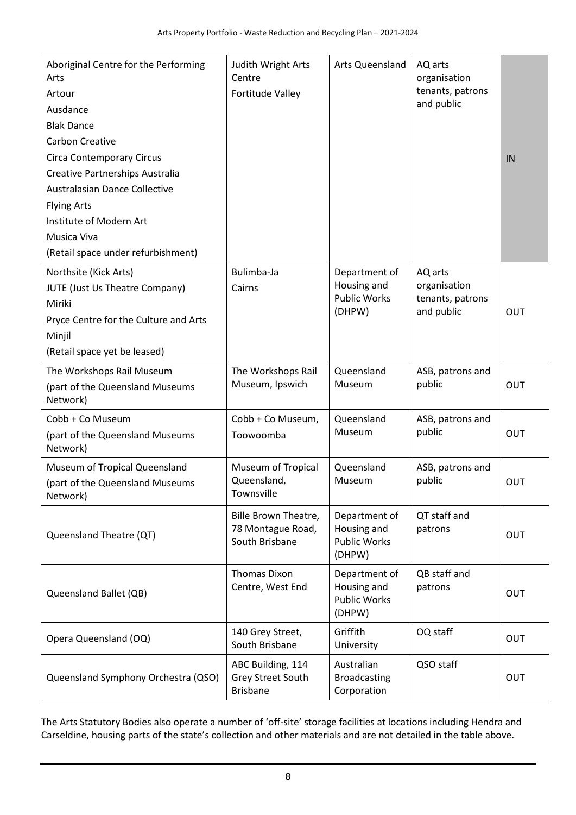| Aboriginal Centre for the Performing<br>Arts<br>Artour<br>Ausdance<br><b>Blak Dance</b><br><b>Carbon Creative</b><br><b>Circa Contemporary Circus</b><br>Creative Partnerships Australia<br>Australasian Dance Collective<br><b>Flying Arts</b><br>Institute of Modern Art<br>Musica Viva<br>(Retail space under refurbishment) | Judith Wright Arts<br>Centre<br>Fortitude Valley            | <b>Arts Queensland</b>                                        | AQ arts<br>organisation<br>tenants, patrons<br>and public | IN  |
|---------------------------------------------------------------------------------------------------------------------------------------------------------------------------------------------------------------------------------------------------------------------------------------------------------------------------------|-------------------------------------------------------------|---------------------------------------------------------------|-----------------------------------------------------------|-----|
| Northsite (Kick Arts)<br><b>JUTE (Just Us Theatre Company)</b><br>Miriki<br>Pryce Centre for the Culture and Arts<br>Minjil<br>(Retail space yet be leased)                                                                                                                                                                     | Bulimba-Ja<br>Cairns                                        | Department of<br>Housing and<br><b>Public Works</b><br>(DHPW) | AQ arts<br>organisation<br>tenants, patrons<br>and public | OUT |
| The Workshops Rail Museum<br>(part of the Queensland Museums<br>Network)                                                                                                                                                                                                                                                        | The Workshops Rail<br>Museum, Ipswich                       | Queensland<br>Museum                                          | ASB, patrons and<br>public                                | OUT |
| Cobb + Co Museum<br>(part of the Queensland Museums<br>Network)                                                                                                                                                                                                                                                                 | Cobb + Co Museum,<br>Toowoomba                              | Queensland<br>Museum                                          | ASB, patrons and<br>public                                | OUT |
| Museum of Tropical Queensland<br>(part of the Queensland Museums<br>Network)                                                                                                                                                                                                                                                    | <b>Museum of Tropical</b><br>Queensland,<br>Townsville      | Queensland<br>Museum                                          | ASB, patrons and<br>public                                | OUT |
| Queensland Theatre (QT)                                                                                                                                                                                                                                                                                                         | Bille Brown Theatre,<br>78 Montague Road,<br>South Brisbane | Department of<br>Housing and<br><b>Public Works</b><br>(DHPW) | QT staff and<br>patrons                                   | OUT |
| Queensland Ballet (QB)                                                                                                                                                                                                                                                                                                          | <b>Thomas Dixon</b><br>Centre, West End                     | Department of<br>Housing and<br><b>Public Works</b><br>(DHPW) | QB staff and<br>patrons                                   | OUT |
| Opera Queensland (OQ)                                                                                                                                                                                                                                                                                                           | 140 Grey Street,<br>South Brisbane                          | Griffith<br>University                                        | OQ staff                                                  | OUT |
| Queensland Symphony Orchestra (QSO)                                                                                                                                                                                                                                                                                             | ABC Building, 114<br>Grey Street South<br><b>Brisbane</b>   | Australian<br><b>Broadcasting</b><br>Corporation              | QSO staff                                                 | OUT |

The Arts Statutory Bodies also operate a number of 'off-site' storage facilities at locations including Hendra and Carseldine, housing parts of the state's collection and other materials and are not detailed in the table above.